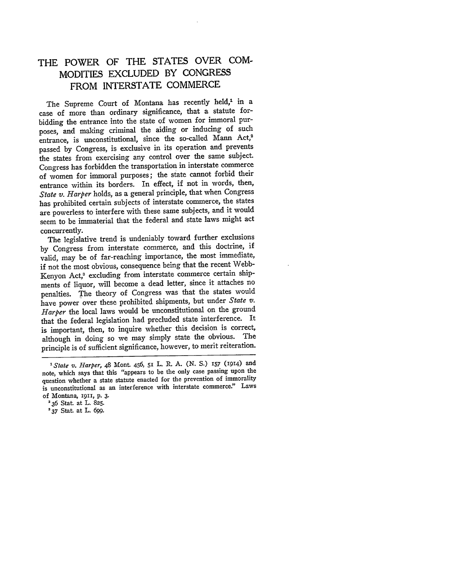## THE POWER OF THE **STATES** OVER **COM-MODITIES EXCLUDED** BY **CONGRESS** FROM **INTERSTATE** COMMERCE

The Supreme Court of Montana has recently held,<sup>1</sup> in a case of more than ordinary significance, that a statute forbidding the entrance into the state of women for immoral purposes, and making criminal the aiding or inducing of such entrance, is unconstitutional, since the so-called Mann Act,<sup>2</sup> passed **by** Congress, is exclusive in its operation and prevents the states from exercising any control over the same subject. Congress has forbidden the transportation in interstate commerce of women for immoral purposes; the state cannot forbid their entrance within its borders. In effect, if not in words, then, *State v. Harper* holds, as a general principle, that when Congress has prohibited certain subjects of interstate commerce, the states are powerless to interfere with these same subjects, and it would seem to be immaterial that the federal and state laws might act concurrently.

The legislative trend is undeniably toward further exclusions **by** Congress from interstate commerce, and this doctrine, if valid, may be of far-reaching importance, the most immediate, if not the most obvious, consequence being that the recent Webb-Kenyon Act,<sup>3</sup> excluding from interstate commerce certain shipments of liquor, will become a dead letter, since it attaches no penalties. The theory of Congress was that the states would have power over these prohibited shipments, but under *State v. Harper* the local laws would be unconstitutional on the ground that the federal legislation had precluded state interference. It is important, then, to inquire whether this decision is correct, although in doing so we may simply state the obvious. The principle is of sufficient significance, however, to merit reiteration.

*'State v. Harper,* 48 Mont. 456, 51 L. R. A. (N. **S.) 157 (1914)** and note, which says that this "appears to be the only case passing upon the question whether a state statute enacted for the prevention of immorality is unconstitutional as an interference with interstate commerce." Laws of Montana, 1911, p. **3.**

**<sup>.36</sup>** Stat at L. **825.**

**<sup>&#</sup>x27;37** Stat. at L. *699.*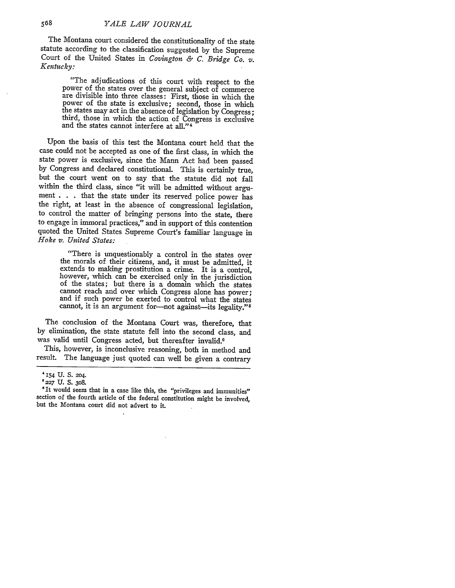The Montana court considered the constitutionality of the state statute according to the classification suggested by the Supreme Court of the United States in *Covington & C. Bridge Co. v. Kentucky:*

"The adjudications of this court with respect to the power of the states over the general subject of commerce are divisible into three classes: First, those in which the power of the state is exclusive; second, those in which the states may act in the absence of legislation by Congress; third, those in which the action of Congress is exclusive and the states cannot interfere at all."<sup>4</sup>

Upon the basis of this test the Montana court held that the case could not be accepted as one of the first class, in which the state power is exclusive, since the Mann Act had been passed by Congress and declared constitutional. This is certainly true, but the court went on to say that the statute did not fall within the third class, since "it will be admitted without argument . . . that the state under its reserved police power has the right, at least in the absence of congressional legislation, to control the matter of bringing persons into the state, there to engage in immoral practices," and in support of this contention quoted the United States Supreme Court's familiar language in *Hoke v. United States:*

"There is unquestionably a control in the states over the morals of their citizens, and, it must be admitted, it extends to making prostitution a crime. It is a control, however, which can be exercised only in the jurisdiction of the states; but there is a domain which the states cannot reach and over which Congress alone has power; and if such power be exerted to control what the states cannot, it is an argument for-not against-its legality." $5$ 

The conclusion of the Montana Court was, therefore, that by elimination, the state statute fell into the second class, and was valid until Congress acted, but thereafter invalid.6

This, however, is inconclusive reasoning, both in method and result. The language just quoted can well be given a contrary

**<sup>&#</sup>x27;154** U. S. 204.

**<sup>227</sup> U. S. 308.**

**<sup>&</sup>quot;It** would seem that in a case like this, the "privileges and immunities" section of the fourth article of the federal constitution might be involved, but the Montana court did not advert to it.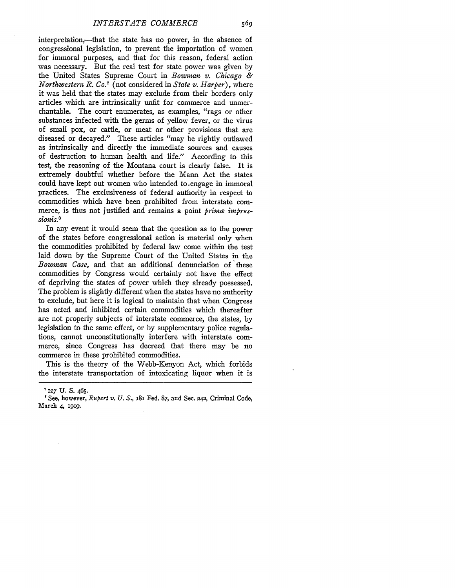interpretation,—that the state has no power, in the absence of congressional legislation, to prevent the importation of women for immoral purposes, and that for this reason, federal action was necessary. But the real test for state power was given by the United States Supreme Court in *Bowman v. Chicago & Northwestern R. Co. <sup>7</sup>*(not considered in *State v. Harper),* where it was held that the states may exclude from their borders only articles which are intrinsically unfit for commerce and unmerchantable. The court enumerates, as examples, "rags or other substances infected with the germs of yellow fever, or the virus of small pox, or cattle, or meat or other provisions that are diseased or decayed." These articles "may be rightly outlawed as intrinsically and directly the immediate sources and causes of destruction to human health and life." According to this test, the reasoning of the Montana court is clearly false. It is extremely doubtful whether before the Mann Act the states could have kept out women who intended to-engage in immoral practices. The exclusiveness of federal authority in respect to commodities which have been prohibited from interstate commerce, is thus not justified and remains a point *prima impres*sionis.<sup>8</sup>

In any event it would seem that the question as to the power of the states before congressional action is material only when the commodities prohibited by federal law come within the test laid down by the Supreme Court of the United States in the *Bowman Case*, and that an additional denunciation of these commodities by Congress would certainly not have the effect of depriving the states of power which they already possessed. The problem is slightly different when the states have no authority to exclude, but here it is logical to maintain that when Congress has acted and inhibited certain commodities which thereafter are not properly subjects of interstate commerce, the states, by legislation to the same effect, or by supplementary police regulations, cannot unconstitutionally interfere with interstate commerce, since Congress has decreed that there may be no commerce in these prohibited commodities.

This is the theory of the Webb-Kenyon Act, which forbids the interstate transportation of intoxicating liquor when it is

**<sup>7</sup> I27 U. S.** 465.

<sup>&#</sup>x27;See, however, *Rupert v. U. S.,* **i81** Fed. **87,** and Sec. 242, Criminal Code, March 4, **1909.**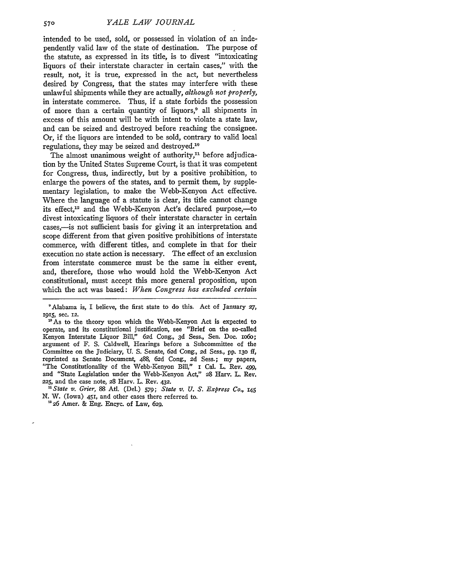intended to be used, sold, or possessed in violation of an independently valid law of the state of destination. The purpose of the statute, as expressed in its title, is to divest "intoxicating liquors of their interstate character in certain cases," with the result, not, it is true, expressed in the act, but nevertheless desired by Congress, that the states may interfere with these unlawful shipments while they are actually, *although not properly,* in interstate commerce. Thus, if a state forbids the possession of more than a certain quantity of liquors,<sup>9</sup> all shipments in excess of this amount will be with intent to violate a state law, and can be seized and destroyed before reaching the consignee. Or, if the liquors are intended to be sold, contrary to valid local regulations, they may be seized and destroyed.<sup>10</sup>

The almost unanimous weight of authority,<sup>11</sup> before adjudication by the United States Supreme Court, is that it was competent for Congress, thus, indirectly, but by a positive prohibition, to enlarge the powers of the states, and to permit them, by supplementary legislation, to make the Webb-Kenyon Act effective. Where the language of a statute is clear, its title cannot change its effect.<sup>12</sup> and the Webb-Kenyon Act's declared purpose,-to divest intoxicating liquors of their interstate character in certain cases,--is not sufficient basis for giving it an interpretation and scope different from that given positive prohibitions of interstate commerce, with different titles, and complete in that for their execution no state action is necessary. The effect of an exclusion from interstate commerce must be the same ia either event, and, therefore, those who would hold the Webb-Kenyon Act constitutional, must accept this more general proposition, upon which the act was based: *When Congress has excluded certain*

<sup>10</sup> As to the theory upon which the Webb-Kenyon Act is expected to operate, and its constitutional justification, see "Brief on the so-called Kenyon Interstate Liquor Bill," 62d Cong., 3d Sess., Sen. Doc. io6o; argument of F. S. Caldwell, Hearings before a Subcommittee of the Committee on the judiciary, U. S. Senate, 62d Cong., 2d Sess., pp. **130** *if,* reprinted as Senate Document, *488, 62d* Cong., **2d** Sess.; my papers, "The Constitutionality of the Webb-Kenyon Bill," i Cal. L. Rev. 499, and "State Legislation under the Webb-Kenyon Act," 28 Harv. L. Rev. **225,** and the case note, 28 Harv. L. Rev. 432.

*'State v. Grier, 88* Ati. (Del.) *579; State v. U. S. Express Co.,* **145** N. W. (Iowa) 451, and other cases there referred to. *=* **26** Amer. & Eng. Encyc. of Law, 629.

<sup>&#</sup>x27;Alabama is, I believe, the first state to do this. Act of January **27,** 1915, sec. 12.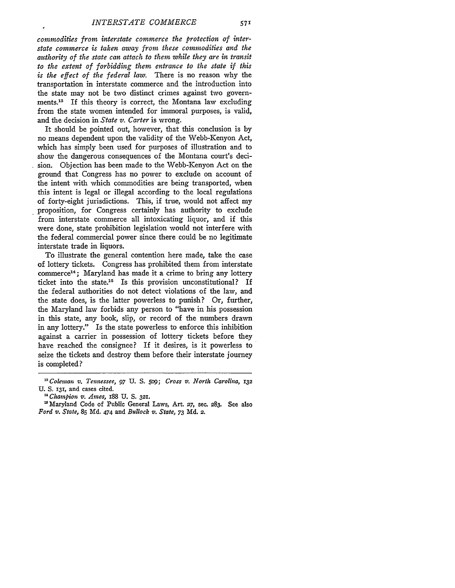ł

*commodities from interstate commerce the protection of interstate commerce is taken away from these commodities and the authority of the state can attach to them while they are in transit to the extent of forbidding them entrance to the state if this is the effect of the federal law.* There is no reason why the transportation in interstate commerce and the introduction into the state may not be two distinct crimes against two governments.<sup>13</sup> If this theory is correct, the Montana law excluding from the state women intended for immoral purposes, is valid, and the decision in *State v. Carter* is wrong.

It should be pointed out, however, that this conclusion is by no means dependent upon the validity of the Webb-Kenyon Act, which has simply been used for purposes of illustration and to show the dangerous consequences of the Montana court's decision. Objection has been made to the Webb-Kenyon Act on the ground that Congress has no power to exclude on account of the intent with which commodities are being transported, when this intent is legal or illegal according to the local regulations of forty-eight jurisdictions. This, if true, would not affect my proposition, for Congress certainly has authority to exclude from interstate commerce all intoxicating liquor, and if this were done, state prohibition legislation would not interfere with the federal commercial power since there could be no legitimate interstate trade in liquors.

To illustrate the general contention here made, take the case of lottery tickets. Congress has prohibited them from interstate commerce<sup>14</sup>: Maryland has made it a crime to bring any lottery ticket into the state.15 Is this provision unconstitutional? If the federal authorities do not detect violations of the law, and the state does, is the latter powerless to punish? Or, further, the Maryland law forbids any person to "have in his possession in this state, any book, slip, or record of the numbers drawn in any lottery." Is the state powerless to enforce this inhibition against a carrier in possession of lottery tickets before they have reached the consignee? If it desires, is it powerless to seize the tickets and destroy them before their interstate journey is completed?

**<sup>&#</sup>x27;Coleman** *v. Tennessee, 97* **U. S.** *5o9; Cross v. North Carolina, <sup>132</sup>* **U. S. 131,** and cases cited. *1" Chiampion v. Ames,* i88 **U. S. 321.**

Maryland Code of Public General Laws, Art. **27,** sec. **283.** See also *Ford v. State,* **85 Md.** 474 and *Bullock v. State,* **73 Md. 2.**